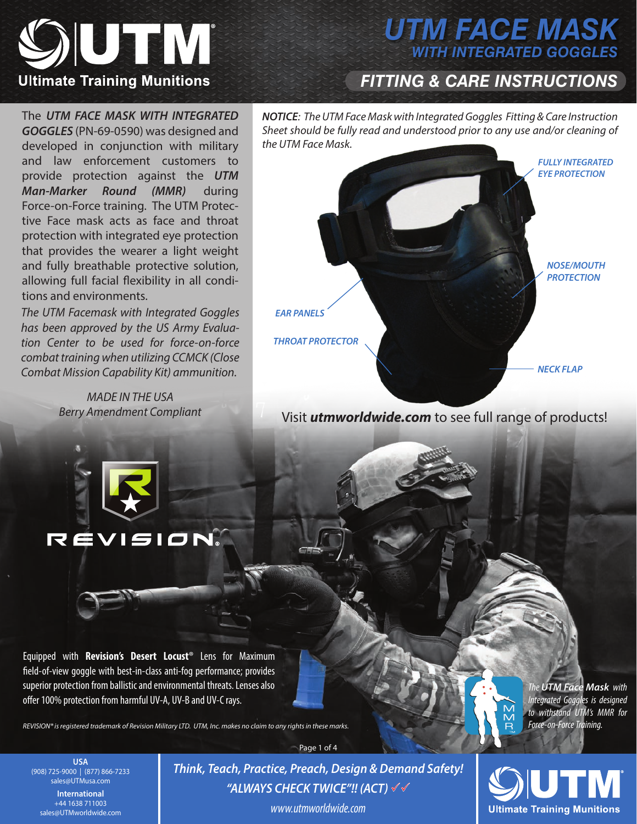

# *UTM FACE MASK WITH INTEGRATED GOGGLES*

## *FITTING & CARE INSTRUCTIONS*

The *UTM FACE MASK WITH INTEGRATED GOGGLES* (PN-69-0590) was designed and developed in conjunction with military and law enforcement customers to provide protection against the *UTM Man-Marker Round (MMR)* during Force-on-Force training. The UTM Protective Face mask acts as face and throat protection with integrated eye protection that provides the wearer a light weight and fully breathable protective solution, allowing full facial flexibility in all conditions and environments.

*The UTM Facemask with Integrated Goggles has been approved by the US Army Evaluation Center to be used for force-on-force combat training when utilizing CCMCK (Close Combat Mission Capability Kit) ammunition.*

> *MADE IN THE USA Berry Amendment Compliant*

**REVISION** 

*NOTICE: The UTM Face Mask with Integrated Goggles Fitting & Care Instruction Sheet should be fully read and understood prior to any use and/or cleaning of the UTM Face Mask.*



Visit *utmworldwide.com* to see full range of products!



*REVISION® is registered trademark of Revision Military LTD. UTM, Inc. makes no claim to any rights in these marks.*



**USA** (908) 725-9000 | (877) 866-7233 sales@UTMusa.com **International**  +44 1638 711003 sales@UTMworldwide.com

*Think, Teach, Practice, Preach, Design & Demand Safety! "ALWAYS CHECK TWICE"!! (ACT) www.utmworldwide.com*

Page 1 of 4

**Ultimate Training Munitions**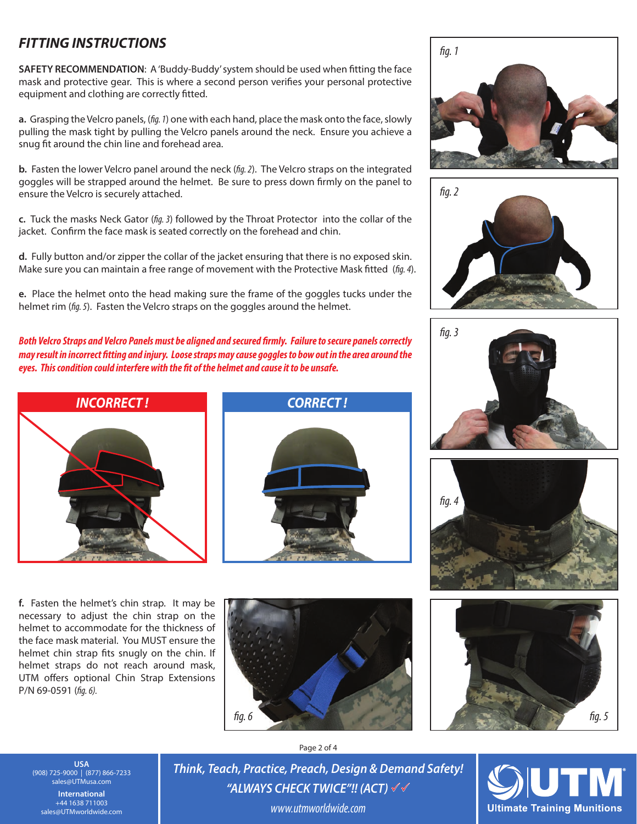### *FITTING INSTRUCTIONS*

**SAFETY RECOMMENDATION**: A 'Buddy-Buddy' system should be used when tting the face mask and protective gear. This is where a second person verifies your personal protective equipment and clothing are correctly fitted.

**a.** Grasping the Velcro panels, (*g. 1*) one with each hand, place the mask onto the face, slowly pulling the mask tight by pulling the Velcro panels around the neck. Ensure you achieve a snug fit around the chin line and forehead area.

**b.** Fasten the lower Velcro panel around the neck (*fig. 2*). The Velcro straps on the integrated goggles will be strapped around the helmet. Be sure to press down firmly on the panel to ensure the Velcro is securely attached.

**c.** Tuck the masks Neck Gator (*g. 3*) followed by the Throat Protector into the collar of the jacket. Confirm the face mask is seated correctly on the forehead and chin.

**d.** Fully button and/or zipper the collar of the jacket ensuring that there is no exposed skin. Make sure you can maintain a free range of movement with the Protective Mask fitted (fig. 4).

**e.** Place the helmet onto the head making sure the frame of the goggles tucks under the helmet rim (*fig. 5*). Fasten the Velcro straps on the goggles around the helmet.

Both Velcro Straps and Velcro Panels must be aligned and secured firmly. Failure to secure panels correctly *may result in incorrect tting and injury. Loose straps may cause goggles to bow out in the area around the*  eyes. This condition could interfere with the fit of the helmet and cause it to be unsafe.





**f.** Fasten the helmet's chin strap. It may be necessary to adjust the chin strap on the helmet to accommodate for the thickness of the face mask material. You MUST ensure the helmet chin strap fits snugly on the chin. If helmet straps do not reach around mask, UTM offers optional Chin Strap Extensions P/N 69-0591 (fig. 6).













**USA** (908) 725-9000 | (877) 866-7233 sales@UTMusa.com **International**  +44 1638 711003 sales@UTMworldwide.com

Page 2 of 4

*Think, Teach, Practice, Preach, Design & Demand Safety! "ALWAYS CHECK TWICE"!! (ACT) www.utmworldwide.com*

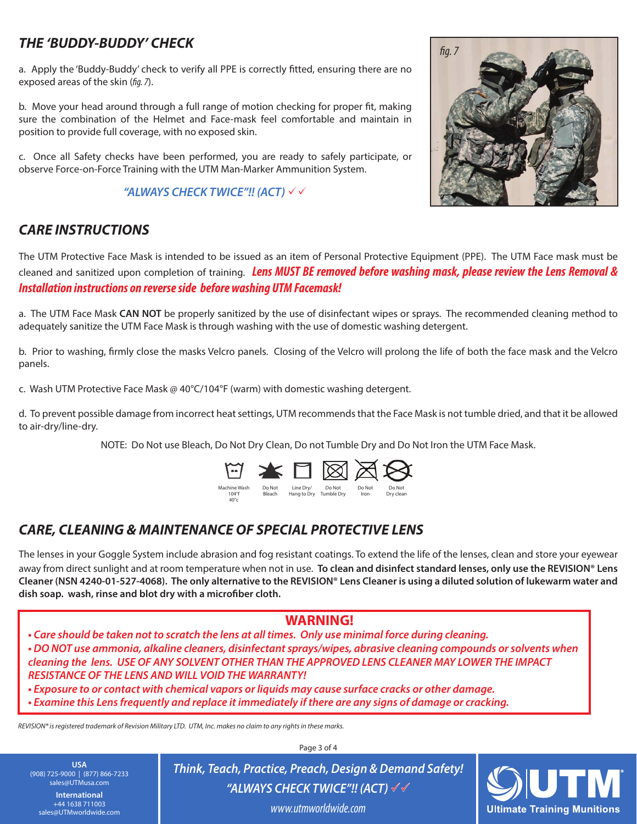### *THE 'BUDDY-BUDDY' CHECK*

a. Apply the 'Buddy-Buddy' check to verify all PPE is correctly fitted, ensuring there are no exposed areas of the skin (*fig. 7*).

b. Move your head around through a full range of motion checking for proper fit, making sure the combination of the Helmet and Face-mask feel comfortable and maintain in position to provide full coverage, with no exposed skin.

c. Once all Safety checks have been performed, you are ready to safely participate, or observe Force-on-Force Training with the UTM Man-Marker Ammunition System.

#### *"ALWAYS CHECK TWICE"!! (ACT)*



### *CARE INSTRUCTIONS*

The UTM Protective Face Mask is intended to be issued as an item of Personal Protective Equipment (PPE). The UTM Face mask must be cleaned and sanitized upon completion of training. *Lens MUST BE removed before washing mask, please review the Lens Removal & Installation instructions on reverse side before washing UTM Facemask!*

a. The UTM Face Mask **CAN NOT** be properly sanitized by the use of disinfectant wipes or sprays. The recommended cleaning method to adequately sanitize the UTM Face Mask is through washing with the use of domestic washing detergent.

b. Prior to washing, firmly close the masks Velcro panels. Closing of the Velcro will prolong the life of both the face mask and the Velcro panels.

c. Wash UTM Protective Face Mask @ 40°C/104°F (warm) with domestic washing detergent.

d. To prevent possible damage from incorrect heat settings, UTM recommends that the Face Mask is not tumble dried, and that it be allowed to air-dry/line-dry.

NOTE: Do Not use Bleach, Do Not Dry Clean, Do not Tumble Dry and Do Not Iron the UTM Face Mask.



### *CARE, CLEANING & MAINTENANCE OF SPECIAL PROTECTIVE LENS*

40°c

The lenses in your Goggle System include abrasion and fog resistant coatings. To extend the life of the lenses, clean and store your eyewear away from direct sunlight and at room temperature when not in use. **To clean and disinfect standard lenses, only use the REVISION® Lens Cleaner (NSN 4240-01-527-4068). The only alternative to the REVISION® Lens Cleaner is using a diluted solution of lukewarm water and**  dish soap. wash, rinse and blot dry with a microfiber cloth.

#### **WARNING!**

*• Care should be taken not to scratch the lens at all times. Only use minimal force during cleaning. • DO NOT use ammonia, alkaline cleaners, disinfectant sprays/wipes, abrasive cleaning compounds or solvents when cleaning the lens. USE OF ANY SOLVENT OTHER THAN THE APPROVED LENS CLEANER MAY LOWER THE IMPACT RESISTANCE OF THE LENS AND WILL VOID THE WARRANTY!*

*• Exposure to or contact with chemical vapors or liquids may cause surface cracks or other damage.*

*• Examine this Lens frequently and replace it immediately if there are any signs of damage or cracking.*

*REVISION® is registered trademark of Revision Military LTD. UTM, Inc. makes no claim to any rights in these marks.*

**USA** (908) 725-9000 | (877) 866-7233 sales@UTMusa.com **International**  +44 1638 711003 sales@UTMworldwide.com

Page 3 of 4

*Think, Teach, Practice, Preach, Design & Demand Safety! "ALWAYS CHECK TWICE"!! (ACT) www.utmworldwide.com*